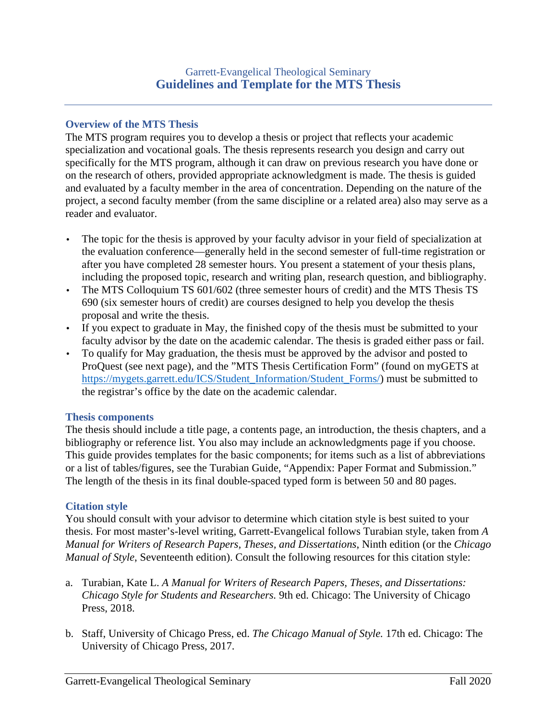# **Overview of the MTS Thesis**

The MTS program requires you to develop a thesis or project that reflects your academic specialization and vocational goals. The thesis represents research you design and carry out specifically for the MTS program, although it can draw on previous research you have done or on the research of others, provided appropriate acknowledgment is made. The thesis is guided and evaluated by a faculty member in the area of concentration. Depending on the nature of the project, a second faculty member (from the same discipline or a related area) also may serve as a reader and evaluator.

- The topic for the thesis is approved by your faculty advisor in your field of specialization at the evaluation conference—generally held in the second semester of full-time registration or after you have completed 28 semester hours. You present a statement of your thesis plans, including the proposed topic, research and writing plan, research question, and bibliography.
- The MTS Colloquium TS 601/602 (three semester hours of credit) and the MTS Thesis TS 690 (six semester hours of credit) are courses designed to help you develop the thesis proposal and write the thesis.
- If you expect to graduate in May, the finished copy of the thesis must be submitted to your faculty advisor by the date on the academic calendar. The thesis is graded either pass or fail.
- To qualify for May graduation, the thesis must be approved by the advisor and posted to ProQuest (see next page), and the "MTS Thesis Certification Form" (found on myGETS at https://mygets.garrett.edu/ICS/Student\_Information/Student\_Forms/) must be submitted to the registrar's office by the date on the academic calendar.

# **Thesis components**

The thesis should include a title page, a contents page, an introduction, the thesis chapters, and a bibliography or reference list. You also may include an acknowledgments page if you choose. This guide provides templates for the basic components; for items such as a list of abbreviations or a list of tables/figures, see the Turabian Guide, "Appendix: Paper Format and Submission." The length of the thesis in its final double-spaced typed form is between 50 and 80 pages.

# **Citation style**

You should consult with your advisor to determine which citation style is best suited to your thesis. For most master's-level writing, Garrett-Evangelical follows Turabian style, taken from *A Manual for Writers of Research Papers, Theses, and Dissertations*, Ninth edition (or the *Chicago Manual of Style*, Seventeenth edition). Consult the following resources for this citation style:

- a. Turabian, Kate L. *A Manual for Writers of Research Papers, Theses, and Dissertations: Chicago Style for Students and Researchers.* 9th ed. Chicago: The University of Chicago Press, 2018.
- b. Staff, University of Chicago Press, ed. *The Chicago Manual of Style.* 17th ed. Chicago: The University of Chicago Press, 2017.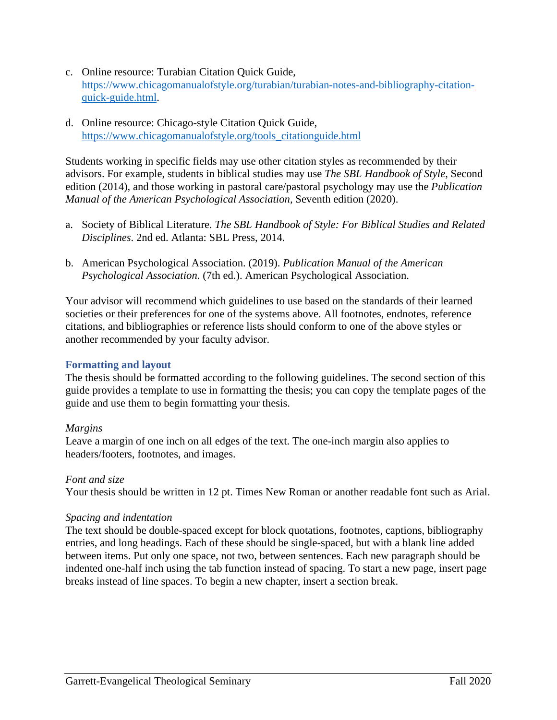- c. Online resource: Turabian Citation Quick Guide, https://www.chicagomanualofstyle.org/turabian/turabian-notes-and-bibliography-citationquick-guide.html.
- d. Online resource: Chicago-style Citation Quick Guide, https://www.chicagomanualofstyle.org/tools\_citationguide.html

Students working in specific fields may use other citation styles as recommended by their advisors. For example, students in biblical studies may use *The SBL Handbook of Style*, Second edition (2014), and those working in pastoral care/pastoral psychology may use the *Publication Manual of the American Psychological Association,* Seventh edition (2020).

- a. Society of Biblical Literature. *The SBL Handbook of Style: For Biblical Studies and Related Disciplines*. 2nd ed. Atlanta: SBL Press, 2014.
- b. American Psychological Association. (2019). *Publication Manual of the American Psychological Association*. (7th ed.). American Psychological Association.

Your advisor will recommend which guidelines to use based on the standards of their learned societies or their preferences for one of the systems above. All footnotes, endnotes, reference citations, and bibliographies or reference lists should conform to one of the above styles or another recommended by your faculty advisor.

# **Formatting and layout**

The thesis should be formatted according to the following guidelines. The second section of this guide provides a template to use in formatting the thesis; you can copy the template pages of the guide and use them to begin formatting your thesis.

# *Margins*

Leave a margin of one inch on all edges of the text. The one-inch margin also applies to headers/footers, footnotes, and images.

# *Font and size*

Your thesis should be written in 12 pt. Times New Roman or another readable font such as Arial.

# *Spacing and indentation*

The text should be double-spaced except for block quotations, footnotes, captions, bibliography entries, and long headings. Each of these should be single-spaced, but with a blank line added between items. Put only one space, not two, between sentences. Each new paragraph should be indented one-half inch using the tab function instead of spacing. To start a new page, insert page breaks instead of line spaces. To begin a new chapter, insert a section break.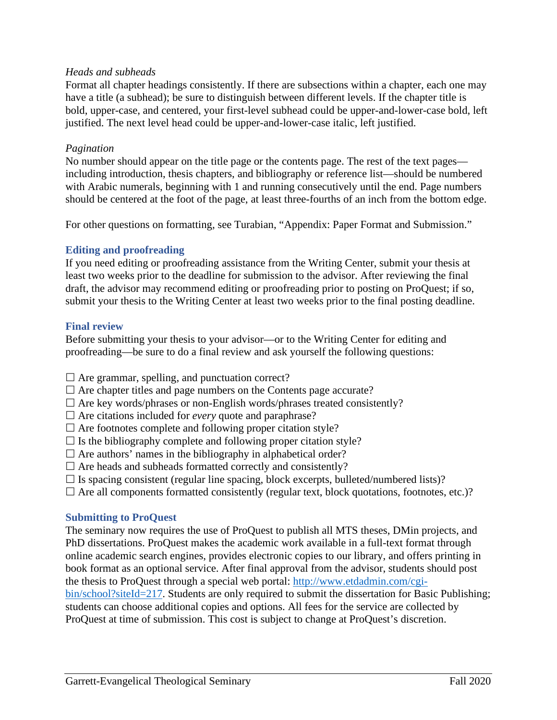## *Heads and subheads*

Format all chapter headings consistently. If there are subsections within a chapter, each one may have a title (a subhead); be sure to distinguish between different levels. If the chapter title is bold, upper-case, and centered, your first-level subhead could be upper-and-lower-case bold, left justified. The next level head could be upper-and-lower-case italic, left justified.

## *Pagination*

No number should appear on the title page or the contents page. The rest of the text pages including introduction, thesis chapters, and bibliography or reference list—should be numbered with Arabic numerals, beginning with 1 and running consecutively until the end. Page numbers should be centered at the foot of the page, at least three-fourths of an inch from the bottom edge.

For other questions on formatting, see Turabian, "Appendix: Paper Format and Submission."

## **Editing and proofreading**

If you need editing or proofreading assistance from the Writing Center, submit your thesis at least two weeks prior to the deadline for submission to the advisor. After reviewing the final draft, the advisor may recommend editing or proofreading prior to posting on ProQuest; if so, submit your thesis to the Writing Center at least two weeks prior to the final posting deadline.

## **Final review**

Before submitting your thesis to your advisor—or to the Writing Center for editing and proofreading—be sure to do a final review and ask yourself the following questions:

 $\Box$  Are grammar, spelling, and punctuation correct?

- $\Box$  Are chapter titles and page numbers on the Contents page accurate?
- $\Box$  Are key words/phrases or non-English words/phrases treated consistently?
- $\Box$  Are citations included for *every* quote and paraphrase?
- $\Box$  Are footnotes complete and following proper citation style?
- $\Box$  Is the bibliography complete and following proper citation style?
- $\Box$  Are authors' names in the bibliography in alphabetical order?
- $\Box$  Are heads and subheads formatted correctly and consistently?
- $\Box$  Is spacing consistent (regular line spacing, block excerpts, bulleted/numbered lists)?
- $\Box$  Are all components formatted consistently (regular text, block quotations, footnotes, etc.)?

## **Submitting to ProQuest**

The seminary now requires the use of ProQuest to publish all MTS theses, DMin projects, and PhD dissertations. ProQuest makes the academic work available in a full-text format through online academic search engines, provides electronic copies to our library, and offers printing in book format as an optional service. After final approval from the advisor, students should post the thesis to ProQuest through a special web portal: http://www.etdadmin.com/cgibin/school?siteId=217. Students are only required to submit the dissertation for Basic Publishing; students can choose additional copies and options. All fees for the service are collected by ProQuest at time of submission. This cost is subject to change at ProQuest's discretion.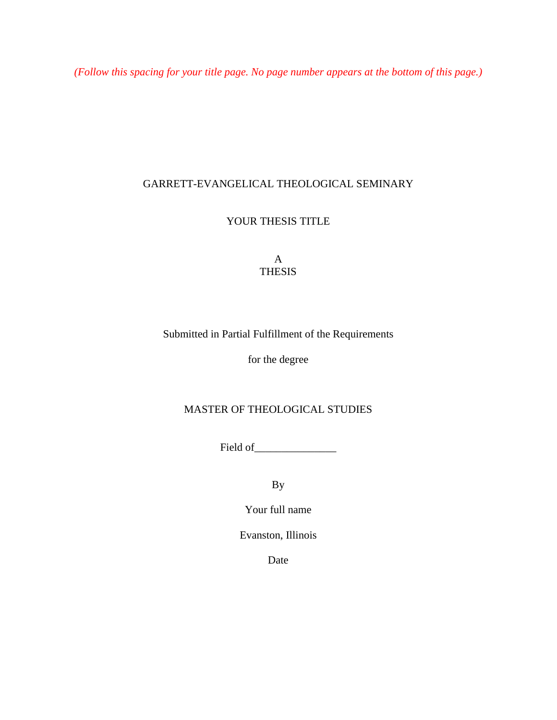*(Follow this spacing for your title page. No page number appears at the bottom of this page.)* 

# GARRETT-EVANGELICAL THEOLOGICAL SEMINARY

YOUR THESIS TITLE

A **THESIS** 

# Submitted in Partial Fulfillment of the Requirements

for the degree

# MASTER OF THEOLOGICAL STUDIES

Field of\_\_\_\_\_\_\_\_\_\_\_\_\_\_\_

By

Your full name

Evanston, Illinois

Date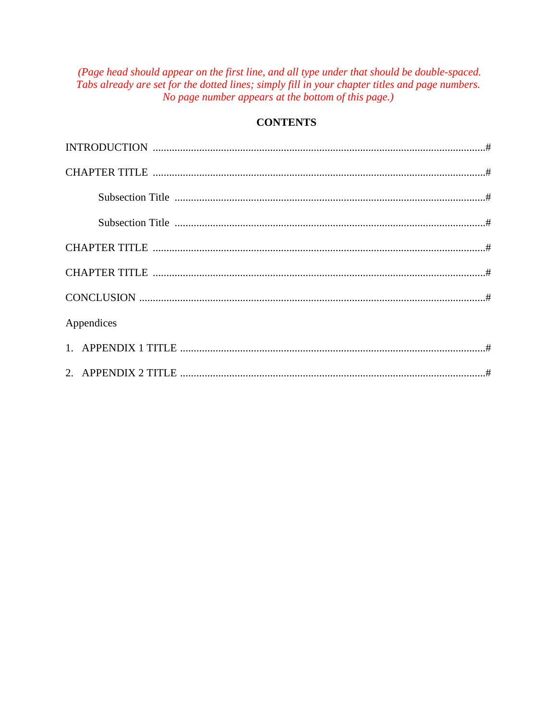(Page head should appear on the first line, and all type under that should be double-spaced. Tabs already are set for the dotted lines; simply fill in your chapter titles and page numbers. No page number appears at the bottom of this page.)

# **CONTENTS**

| Appendices |  |
|------------|--|
|            |  |
|            |  |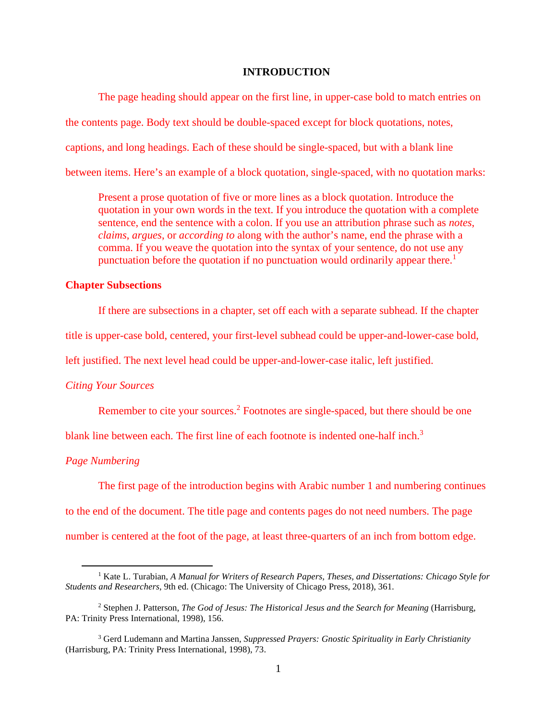#### **INTRODUCTION**

The page heading should appear on the first line, in upper-case bold to match entries on the contents page. Body text should be double-spaced except for block quotations, notes, captions, and long headings. Each of these should be single-spaced, but with a blank line between items. Here's an example of a block quotation, single-spaced, with no quotation marks:

Present a prose quotation of five or more lines as a block quotation. Introduce the quotation in your own words in the text. If you introduce the quotation with a complete sentence, end the sentence with a colon. If you use an attribution phrase such as *notes*, *claims*, *argues*, or *according to* along with the author's name, end the phrase with a comma. If you weave the quotation into the syntax of your sentence, do not use any punctuation before the quotation if no punctuation would ordinarily appear there.<sup>1</sup>

### **Chapter Subsections**

If there are subsections in a chapter, set off each with a separate subhead. If the chapter

title is upper-case bold, centered, your first-level subhead could be upper-and-lower-case bold,

left justified. The next level head could be upper-and-lower-case italic, left justified.

#### *Citing Your Sources*

Remember to cite your sources.<sup>2</sup> Footnotes are single-spaced, but there should be one

blank line between each. The first line of each footnote is indented one-half inch.<sup>3</sup>

### *Page Numbering*

The first page of the introduction begins with Arabic number 1 and numbering continues

to the end of the document. The title page and contents pages do not need numbers. The page number is centered at the foot of the page, at least three-quarters of an inch from bottom edge.

<sup>&</sup>lt;sup>1</sup> Kate L. Turabian, *A Manual for Writers of Research Papers, Theses, and Dissertations: Chicago Style for Students and Researchers*, 9th ed. (Chicago: The University of Chicago Press, 2018), 361.

<sup>&</sup>lt;sup>2</sup> Stephen J. Patterson, *The God of Jesus: The Historical Jesus and the Search for Meaning* (Harrisburg, PA: Trinity Press International, 1998), 156.

<sup>3</sup> Gerd Ludemann and Martina Janssen, *Suppressed Prayers: Gnostic Spirituality in Early Christianity*  (Harrisburg, PA: Trinity Press International, 1998), 73.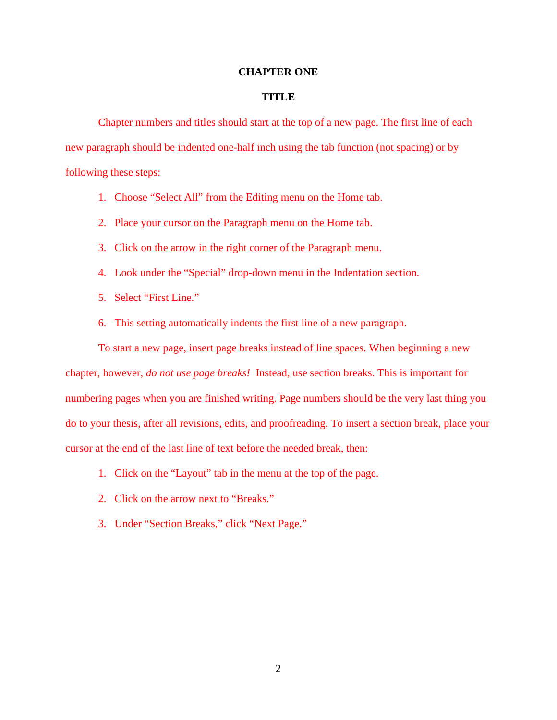#### **CHAPTER ONE**

#### **TITLE**

Chapter numbers and titles should start at the top of a new page. The first line of each new paragraph should be indented one-half inch using the tab function (not spacing) or by following these steps:

- 1. Choose "Select All" from the Editing menu on the Home tab.
- 2. Place your cursor on the Paragraph menu on the Home tab.
- 3. Click on the arrow in the right corner of the Paragraph menu.
- 4. Look under the "Special" drop-down menu in the Indentation section.
- 5. Select "First Line."
- 6. This setting automatically indents the first line of a new paragraph.

To start a new page, insert page breaks instead of line spaces. When beginning a new chapter, however, *do not use page breaks!* Instead, use section breaks. This is important for numbering pages when you are finished writing. Page numbers should be the very last thing you do to your thesis, after all revisions, edits, and proofreading. To insert a section break, place your cursor at the end of the last line of text before the needed break, then:

- 1. Click on the "Layout" tab in the menu at the top of the page.
- 2. Click on the arrow next to "Breaks."
- 3. Under "Section Breaks," click "Next Page."